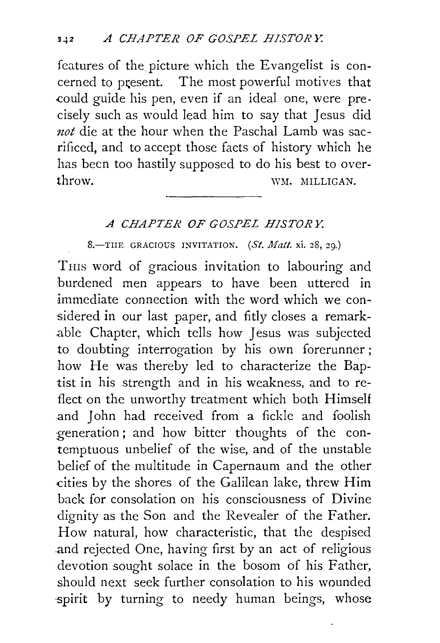features of the picture which the Evangelist is concerned to present. The most powerful motives that .could guide his pen, even if an ideal one, were precisely such as would lead him to say that Jesus did *not* die at the hour when the Paschal Lamb was sacrificed, and to accept those facts of history which he has been too hastily supposed to do his best to overthrow. WM. MILLIGAN.

## *A CHAPTER OF GOSPEL H.!STOR Y.*

8.-TIIE GRACIOUS INVITATION. *(St. Matt.* xi. 28, 29.)

THIS word of gracious invitation to labouring and burdened men appears to have been uttered in immediate connection with the word which we considered in our last paper, and fitly closes a remarkable Chapter, which tells how Jesus was subjected to doubting interrogation by his own forerunner ; how He was thereby led to characterize the Baptist in his strength and in his weakness, and to reflect on the unworthy treatment which both Himself and John had received from a fickle and foolish :generation ; and how bitter thoughts of the contemptuous unbelief of the wise, and of the unstable belief of the multitude in Capernaum and the other .cities by the shores of the Galilean lake, threw Him back for consolation on his consciousness of Divine dignity as the Son and the Revealer of the Father. How natural, how characteristic, that the despised and rejected One, having first by an act of religious devotion sought solace in the bosom of his Father, should next seek further consolation to his wounded spirit by turning to needy human beings, whose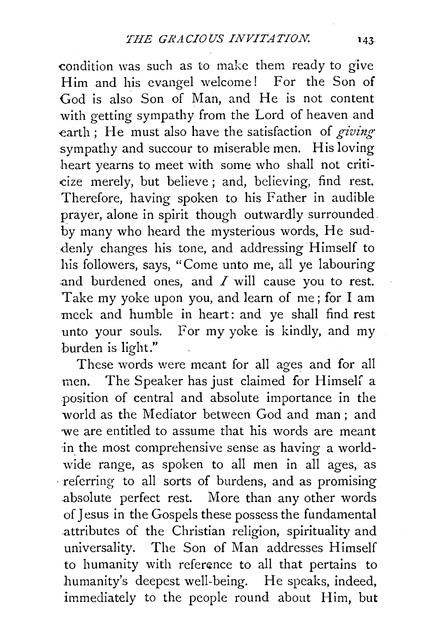condition was such as to make them ready to give Him and his evangel welcome! For the Son of God is also Son of Man, and He is not content with getting sympathy from the Lord of heaven and earth ; He must also have the satisfaction of *giving·*  sympathy and succour to miserable men. His loving heart yearns to meet with some who shall not criticize merely, but believe ; and, believing, find rest. Therefore, having spoken to his Father in audible prayer, alone in spirit though outwardly surrounded. by many who heard the mysterious words, He suddenly changes his tone, and addressing Himself to his followers, says, "Come unto me, all ye labouring and burdened ones, and  $I$  will cause you to rest. Take my yoke upon you, and learn of me; for I am meek and humble in heart: and ye shall find rest unto your souls. For my yoke is kindly, and my burden is light."

These words were meant for all ages and for all men. The Speaker has just claimed for Himself a position of central and absolute importance in the world as the Mediator between God and man ; and we are entitled to assume that his words are meant ·in the most comprehensive sense as having a worldwide range, as spoken to all men in all ages, as · referring to all sorts of burdens, and as promising absolute perfect rest. More than any other words of Jesus in the Gospels these possess the fundamental attributes of the Christian religion, spirituality and universality. The Son of Man addresses Himself to humanity with reference to all that pertains to humanity's deepest well-being. He speaks, indeed, immediately to the people round about Him, but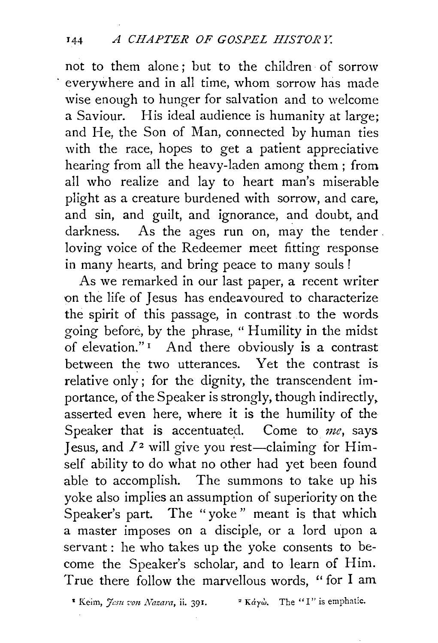not to them alone ; but to the children of sorrow everywhere and in all time, whom sorrow has made wise enough to hunger for salvation and to welcome a Saviour. His ideal audience is humanity at large; and He, the Son of Man, connected by human ties with the race, hopes to get a patient appreciative hearing from all the heavy-laden among them ; from all who realize and lay to heart man's miserable plight as a creature burdened with sorrow, and care, and sin, and guilt, and ignorance, and doubt, and darkness. As the ages run on, may the tender . loving voice of the Redeemer meet fitting response in many hearts, and bring peace to many souls!

As we remarked in our last paper, a recent writer on the life of Jesus has endeavoured to characterize the spirit of this passage, in contrast to the words going before, by the phrase, " Humility in the midst of elevation."<sup>1</sup> And there obviously is a contrast between the two utterances. Yet the contrast is relative only; for the dignity, the transcendent importance, of the Speaker is strongly, though indirectly. asserted even here, where it is the humility of the Speaker that is accentuated. Come to me, says Jesus, and  $I<sup>2</sup>$  will give you rest-claiming for Himself ability to do what no other had yet been found able to accomplish. The summons to take up his yoke also implies an assumption of superiority on the Speaker's part. The "yoke " meant is that which a master imposes on a disciple, or a lord upon a servant : he who takes up the yoke consents to become the Speaker's scholar, and to learn of Him. True there follow the marvellous words, ''for I am

<sup>\*</sup> Keim, *Jesu von Nazara*, ii. 391. <sup>2</sup> Káyŵ. The "I" is emphatic.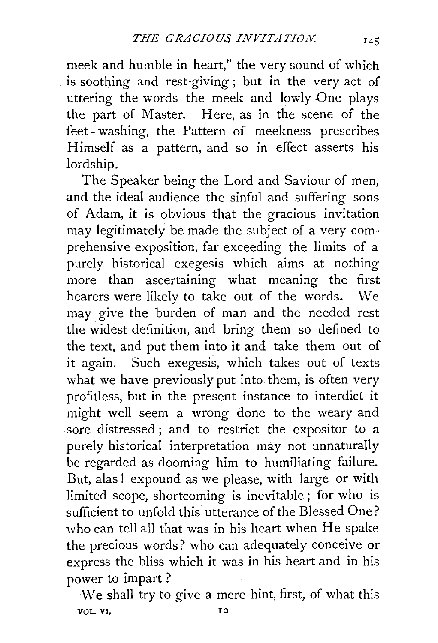meek and humble in heart," the very sound of which is soothing and rest-giving ; but in the very act of uttering the words the meek and lowly One plays the part of Master. Here, as in the scene of the feet - washing, the Pattern of meekness prescribes Himself as a pattern, and so in effect asserts his lordship.

The Speaker being the Lord and Saviour of men, and the ideal audience the sinful and suffering sons of Adam, it is obvious that the gracious invitation may legitimately be made the subject of a very comprehensive exposition, far exceeding the limits of a purely historical exegesis which aims at nothing more than ascertaining what meaning the first hearers were likely to take out of the words. We may give the burden of man and the needed rest the widest definition, and bring them so defined to the text, and put them into it and take them out of it again. Such exegesis, which takes out of texts what we have previously put into them, is often very profitless, but in the present instance to interdict it might well seem a wrong done to the weary and sore distressed; and to restrict the expositor to a purely historical interpretation may not unnaturally be regarded as dooming him to humiliating failure. But, alas ! expound as we please, with large or with limited scope, shortcoming is inevitable ; for who is sufficient to unfold this utterance of the Blessed One? who can tell all that was in his heart when He spake the precious words? who can adequately conceive or express the bliss which it was in his heart and in his power to impart ?

We shall try to give a mere hint, first, of what this VOL. VI. 10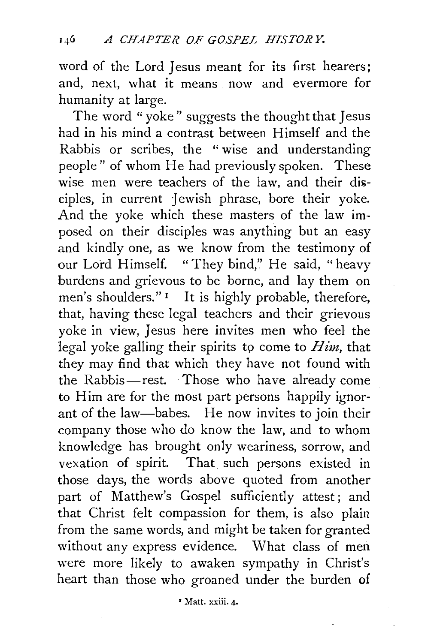word of the Lord Jesus meant for its first hearers; and, next, what it means. now and evermore for humanity at large.

The word "yoke" suggests the thought that Jesus had in his mind a contrast between Himself and the Rabbis or scribes, the "wise and understanding people" of whom He had previously spoken. These wise men were teachers of the law, and their disciples, in current Jewish phrase, bore their yoke. And the yoke which these masters of the law imposed on their disciples was anything but an easy and kindly one, as we know from the testimony of our Lord Himself. "They bind," He said, "heavy burdens and grievous to be borne, and lay them on men's shoulders."<sup>1</sup> It is highly probable, therefore, that, having these legal teachers and their grievous yoke in view, Jesus here invites men who feel the legal yoke galling their spirits to come to *Him*, that they may find that which they have not found with the Rabbis-rest. Those who have already come to Him are for the most part persons happily ignorant of the law-babes. He now invites to join their company those who do know the law, and to whom knowledge has brought only weariness, sorrow, and vexation of spirit. That such persons existed in those days, the words above quoted from another part of Matthew's Gospel sufficiently attest; and that Christ felt compassion for them, is also plain from the same words, and might be taken for granted without any express evidence. What class of men were more likely to awaken sympathy in Christ's heart than those who groaned under the burden of

r Matt. xxiii. 4·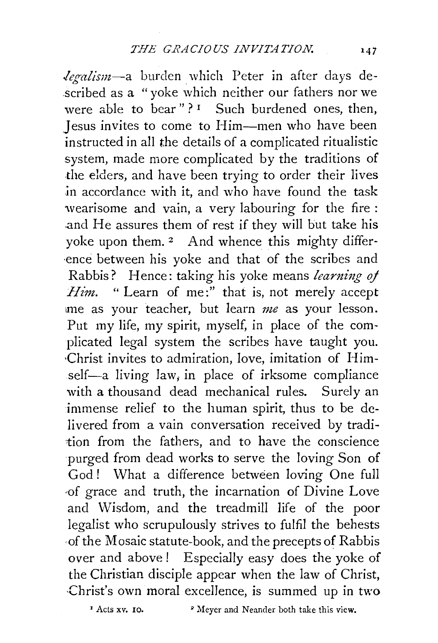*legalism-a* burden which Peter in after days described as a "yoke which neither our fathers nor we were able to bear"?<sup>1</sup> Such burdened ones, then, Jesus invites to come to Him-men who have been instructed in all the details of a complicated ritualistic system, made more complicated by the traditions of the elders, and have been trying to order their lives in accordance with it, and who have found the task wearisome and vain, a very labouring for the fire : .and He assures them of rest if they will but take his yoke upon them. 2 And whence this mighty differ- ·ence between his yoke and that of the scribes and Rabbis? Hence: taking his yoke means *learning of Him.* " Learn of me:" that is, not merely accept •me as your teacher, but learn *me* as your lesson. Put my life, my spirit, myself, in place of the complicated legal system the scribes have taught you. ·Christ invites to admiration, love, imitation of Himself-a living  $law_i$ , in place of irksome compliance with a thousand dead mechanical rules. Surely an immense relief to the human spirit, thus to be delivered from a vain conversation received by tradition from the fathers, and to have the conscience purged from dead works to serve the loving Son of God ! What a difference between loving One full ··of grace and truth, the incarnation of Divine Love and Wisdom, and the treadmill life of the poor legalist who scrupulously strives to fulfil the behests ·of the Mosaic statute-book, and the precepts of Rabbis over and above ! Especially easy does the yoke of the Christian disciple appear when the law of Christ, ·Christ's own moral excellence, is summed up in two

<sup>&</sup>lt;sup>2</sup> Meyer and Neander both take this view.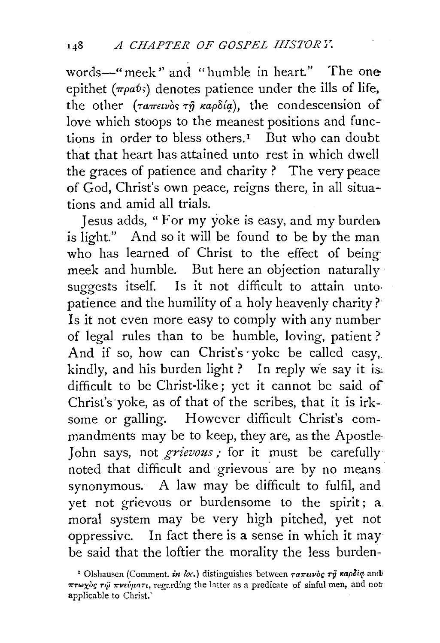words-" meek" and "humble in heart." The oneepithet ( $\pi \rho a\dot{v}$ ) denotes patience under the ills of life, the other ( $\tau a \pi \epsilon \nu \delta s \tau \hat{\eta} \kappa a \rho \delta \hat{\alpha} a$ ), the condescension of love which stoops to the meanest positions and functions in order to bless others.<sup> $I$ </sup> But who can doubt that that heart has attained unto rest in which dwell the graces of patience and charity ? The very peace of God, Christ's own peace, reigns there, in all situations and amid all trials.

Jesus adds, " For my yoke is easy, and my burden. is light." And so it will be found to be by the man who has learned of Christ to the effect of being meek and humble. But here an objection naturally· suggests itself. Is it not difficult to attain untopatience and the humility of a holy heavenly charity? Is it not even more easy to comply with any number of legal rules than to be humble, loving, patient ? And if so, how can Christ's yoke be called easy, kindly, and his burden light? In reply we say it is: difficult to be Christ-like; yet it cannot be said of Christ's ·yoke, as of that of the scribes, that it is irksome or galling. However difficult Christ's commandments may be to keep, they are, as the Apostle John says, not *grievous*; for it must be carefully noted that difficult and grievous are by no means synonymous. A law may be difficult to fulfil, and yet not grievous or burdensome to the spirit; a. moral system may be very high pitched, yet not oppressive. In fact there is a sense in which it may be said that the loftier the morality the less burden-

<sup>&</sup>lt;sup>1</sup> Olshausen (Comment. *in loc.*) distinguishes between *ταπινός τη καρδία* andi  $\pi r \omega \chi$ og  $r \tilde{\omega} \pi \nu i \psi \mu$ art, regarding the latter as a predicate of sinful men, and not: applicable to Christ.'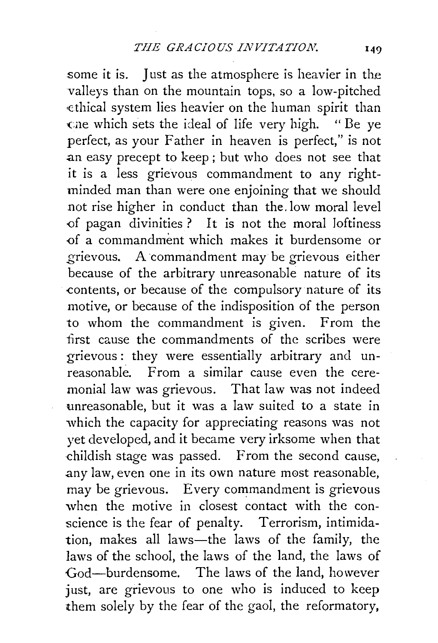some it is. Just as the atmosphere is heavier in the valleys than on the mountain tops, so a low-pitched ·ethical system lies heavier on the human spirit than Gne which sets the ideal of life very high. "Be ye perfect, as your Father in heaven is perfect," is not .an easy precept to keep ; but who does not see that it is a less grievous commandment to any rightminded man than were one enjoining that we should not rise higher in conduct than the. low moral level of pagan divinities ? It is not the moral loftiness of a commandment which makes it burdensome or grievous. A commandment may be grievous either because of the arbitrary unreasonable nature of its -contents, or because of the compulsory nature of its motive, or because of the indisposition of the person to whom the commandment is given. From the first cause the commandments of the scribes were grievous: they were essentially arbitrary and unreasonable. From a similar cause even the ceremonial law was grievous. That law was not indeed unreasonable, but it was a law suited to a state in which the capacity for appreciating reasons was not yet developed, and it became very irksome when that childish stage was passed. From the second cause, .any law, even one in its own nature most reasonable, may be grievous. Every commandment is grievous when the motive in closest contact with the conscience is the fear of penalty. Terrorism, intimidation, makes all laws-the laws of the family, the laws of the school, the laws of the land, the laws of God-burdensome. The laws of the land, however just, are grievous to one who is induced to keep them solely by the fear of the gaol, the reformatory,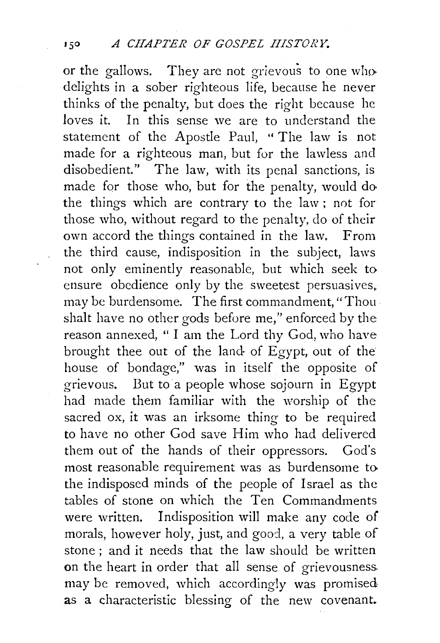or the gallows. They are not grievous to one who delights in a sober righteous life, because he never thinks of the penalty, but does the right because he loves it. In this sense we are to understand the statement of the Apostle Paul, '' The law is not made for a righteous man, but for the lawless and disobedient." The law, with its penal sanctions, is made for those who, but for the penalty, would do the things which are contrary to the law; not for those who, without regard to the penalty, do of their own accord the things contained in the law, From the third cause, indisposition in the subject, laws not only eminently reasonable, but which seek to ensure obedience only by the sweetest persuasives. may be burdensome. The first commandment, "Thoushalt have no other gods before me," enforced by the reason annexed, " I am the Lord thy God, who have brought thee out of the land· of Egypt, out of the house of bondage," was in itself the opposite of grievous. But to a people whose sojourn in Egypt had made them familiar with the worship of the sacred ox, it was an irksome thing to be required to have no other God save Him who had delivered them out of the hands of their oppressors. God's most reasonable requirement was as burdensome to the indisposed minds of the people of Israel as the tables of stone on which the Ten Commandments were written. Indisposition will make any code of morals, however holy, just, and good, a very table of stone ; and it needs that the law should be written on the heart in order that all sense of grievousness. may be removed, which accordingly was promised as a characteristic blessing of the new covenant.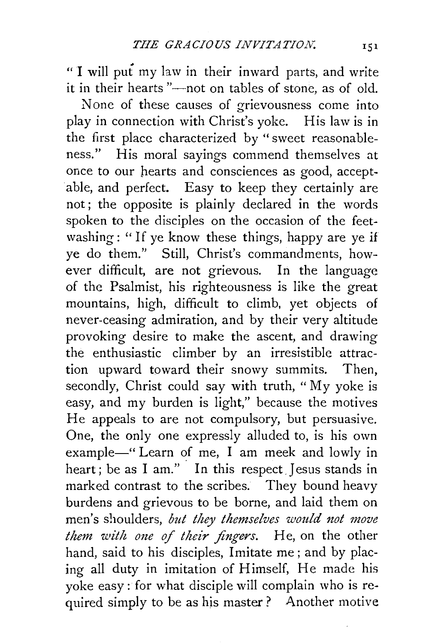"I will put my law in their inward parts, and write it in their hearts "--not on tables of stone, as of old.

None of these causes of grievousness come into play in connection with Christ's yoke. His law is in the first place characterized by " sweet reasonableness." His moral sayings commend themselves at once to our hearts and consciences as good, acceptable, and perfect. Easy to keep they certainly are not; the opposite is plainly declared in the words spoken to the disciples on the occasion of the feetwashing: "If ye know these things, happy are ye if ye do them." Still, Christ's commandments, however difficult, are not grievous. In the language of the Psalmist, his righteousness is like the great mountains, high, difficult to climb, yet objects of never-ceasing admiration, and by their very altitude provoking desire to make the ascent, and drawing the enthusiastic climber by an irresistible attraction upward toward their snowy summits. Then, secondly, Christ could say with truth, "My yoke is easy, and my burden is light," because the motives He appeals to are not compulsory, but persuasive. One, the only one expressly alluded to, is his own example-" Learn of me, I am meek and lowly in heart; be as I am." In this respect Jesus stands in marked contrast to the scribes. They bound heavy burdens and grievous to be borne, and laid them on men's shoulders, *but they themselves would not move them with one of their fingers.* He, on the other hand, said to his disciples, Imitate me ; and by placing all duty in imitation of Himself, He made his yoke easy: for what disciple will complain who is required simply to be as his master? Another motive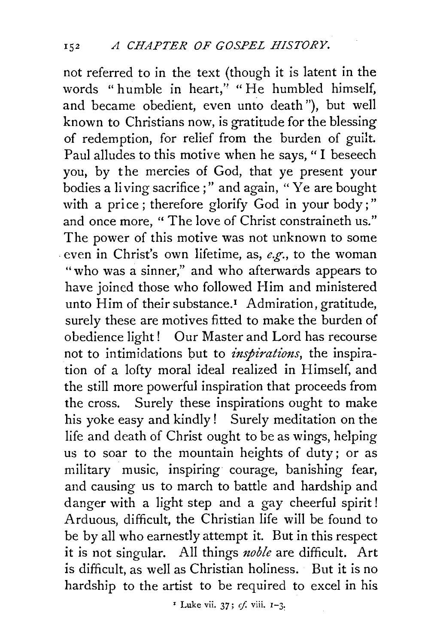not referred to in the text (though it is latent in the words "humble in heart," "He humbled himself, and became obedient, even unto death"), but well known to Christians now, is gratitude for the blessing of redemption, for relief from the burden of guilt. Paul alludes to this motive when he says, " I beseech you, by the mercies of God, that ye present your bodies a living sacrifice ; " and again, " Ye are bought with a price; therefore glorify God in your body;" and once more, " The love of Christ constraineth us." The power of this motive was not unknown to some . even in Christ's own lifetime, as, *e.g.,* to the woman "who was a sinner," and who afterwards appears to have joined those who followed Him and ministered unto Him of their substance.<sup>1</sup> Admiration, gratitude, surely these are motives fitted to make the burden of obedience light ! Our Master and Lord has recourse not to intimidations but to *inspirations*, the inspiration of a lofty moral ideal realized in Himself, and the still more powerful inspiration that proceeds from the cross. Surely these inspirations ought to make his yoke easy and kindly! Surely meditation on the life and death of Christ ought to be as wings, helping us to soar to the mountain heights of duty ; or as military music, inspiring courage, banishing fear, and causing us to march to battle and hardship and danger with a light step and a gay cheerful spirit! Arduous, difficult, the Christian life will be found to be by all who earnestly attempt it. But in this respect it is not singular. All things *noble* are difficult. Art is difficult, as well as Christian holiness. But it is no hardship to the artist to be required to excel in his

<sup>*x*</sup> Luke vii. 37;  $cf.$  viii.  $I-3$ .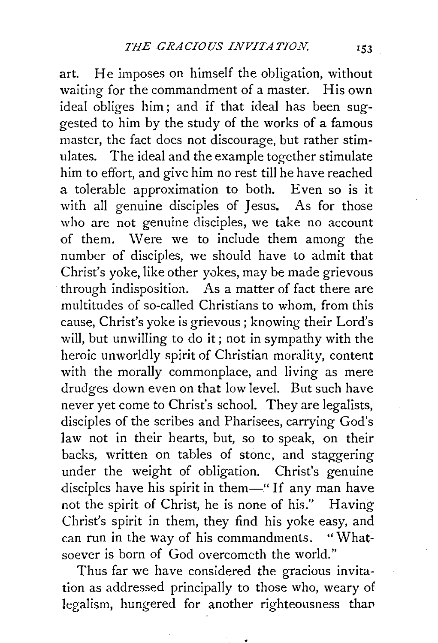art. He imposes on himself the obligation, without waiting for the commandment of a master. His own ideal obliges him ; and if that ideal has been suggested to him by the study of the works of a famous master, the fact does not discourage, but rather stimulates. The ideal and the example together stimulate him to effort, and give him no rest till he have reached a tolerable approximation to both. Even so is it with all genuine disciples of Jesus. As for those who are not genuine disciples, we take no account of them. Were we to include them among the number of disciples, we should have to admit that Christ's yoke, like other yokes, may be made grievous through indisposition. As a matter of fact there are multitudes of so-called Christians to whom, from this cause, Christ's yoke is grievous; knowing their Lord's will, but unwilling to do it; not in sympathy with the heroic unworldly spirit of Christian morality, content with the morally commonplace, and living as mere drudges down even on that low level. But such have never yet come to Christ's school. They are legalists, disciples of the scribes and Pharisees, carrying God's law not in their hearts, but, so to speak, on their backs, written on tables of stone, and staggering under the weight of obligation. Christ's genuine disciples have his spirit in them-" If any man have not the spirit of Christ, he is none of his." Having Christ's spirit in them, they find his yoke easy, and can run in the way of his commandments. "Whatsoever is born of God overcometh the world."

Thus far we have considered the gracious invitation as addressed principally to those who, weary of legalism, hungered for another righteousness than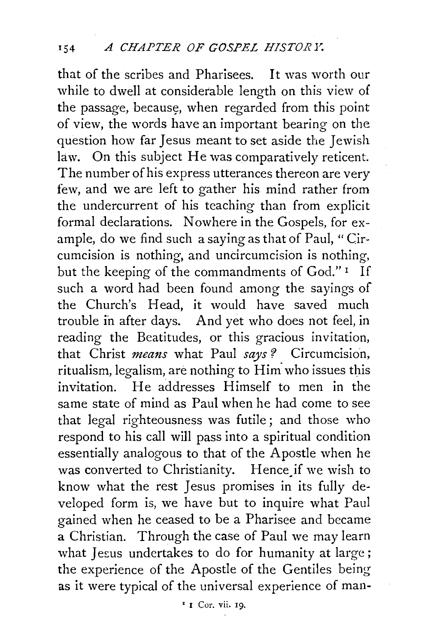that of the scribes and Pharisees. It was worth our while to dwell at considerable length on this view of the passage, because, when regarded from this point of view, the words have an important bearing on the question how far Jesus meant to set aside the Jewish law. On this subject He was comparatively reticent. The number of his express utterances thereon are very few, and we are left to gather his mind rather from the undercurrent of his teaching than from explicit formal declarations. Nowhere in the Gospels, for example, do we find such a saying as that of Paul, "Circumcision is nothing, and uncircumcision is nothing, but the keeping of the commandments of God." 1 If such a word had been found among the sayings of the Church's Head, it would have saved much trouble in after days. And yet who does not feel, in reading the Beatitudes, or this gracious invitation, that Christ *means* what Paul *says* ? Circumcision, ritualism, legalism, are nothing to Him who issues this invitation. He addresses Himself to men in the same state of mind as Paul when he had come to see that legal righteousness was futile; and those who respond to his call will pass into a spiritual condition essentially analogous to that of the Apostle when he was converted to Christianity. Hence if we wish to know what the rest Jesus promises in its fully developed form is, we have but to inquire what Paul gained when he ceased to be a Pharisee and became a Christian. Through the case of Paul we may learn what Jesus undertakes to do for humanity at large; the experience of the Apostle of the Gentiles being as it were typical of the universal experience of man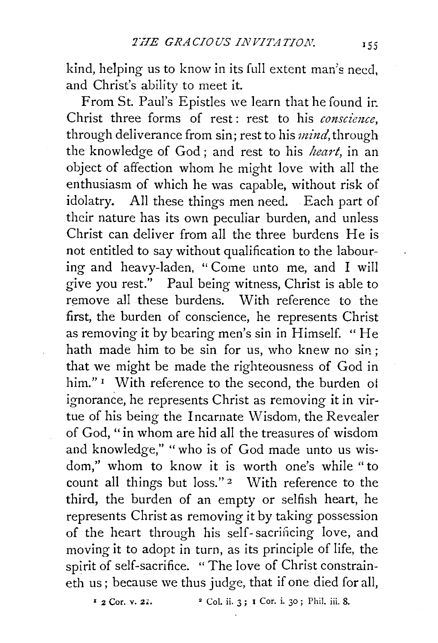kind, helping us to know in its full extent man's need, and Christ's ability to meet it.

From St. Paul's Epistles we learn that he found ir. Christ three forms of rest : rest to his *conscimce,*  through deliverance from sin; rest to his *mind*, through the knowledge of God; and rest to his *heart,* in an object of affection whom he might love with all the enthusiasm of which he was capable, without risk of idolatry. All these things men need. Each part of their nature has its own peculiar burden, and unless Christ can deliver from all the three burdens He is not entitled to say without qualification to the labouring and heavy-laden, " Come unto me, and I will give you rest." Paul being witness, Christ is able to remove all these burdens. With reference to the first, the burden of conscience, he represents Christ as removing it by bearing men's sin in Himself. "He hath made him to be sin for us, who knew no sin ; that we might be made the righteousness of God in him."<sup>I</sup> With reference to the second, the burden of ignorance, he represents Christ as removing it in virtue of his being the Incarnate Wisdom, the Revealer of God, "in whom are hid all the treasures of wisdom and knowledge," "who is of God made unto us wisdom," whom to know it is worth one's while "to count all things but loss."<sup>2</sup> With reference to the third, the burden of an empty or selfish heart, he represents Christ as removing it by taking possession of the heart through his self-sacrificing love, and moving it to adopt in turn, as its principle of life, the spirit of self-sacrifice. " The love of Christ constraineth us; because we thus judge, that if one died for all,

 $\frac{1}{2}$  Cor. v. 21.  $\frac{1}{2}$  Col. ii. 3; 1 Cor. i. 30; Phil. iii. 8.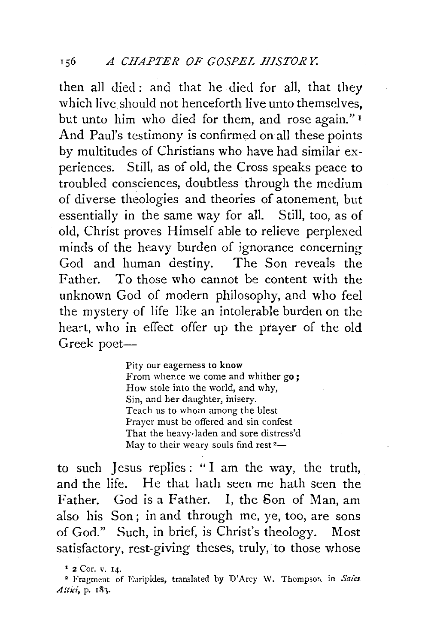then all died : and that he died for all, that they which live should not henceforth live unto themselves, but unto him who died for them, and rose again." <sup>1</sup> And Paul's testimony is confirmed on all these points by multitudes of Christians who have had similar experiences. Still, as of old, the Cross speaks peace to troubled consciences, doubtless through the medium of diverse theologies and theories of atonement, but essentially in the same way for all. Still, too, as of old, Christ proves Himself able to relieve perplexed minds of the heavy burden of ignorance concerning God and human destiny. The Son reveals the Father. To those who cannot be content with the unknown God of modern philosophy, and who feel the mystery of life like an intolerable burden on the heart, who in effect offer up the prayer of the old Greek poet-

> Pity our eagerness to know From whence we come and whither go: How stole into the world, and why, Sin, and her daughter, misery. Teach us to whom among the blest Prayer must be offered and sin confest That the heavy-laden and sore distress'd May to their weary souls find rest $2-$

to such Jesus replies : "I am the way, the truth, and the life. He that hath seen me hath seen the Father. God is a Father. I, the Son of Man, am also his Son ; in and through me, ye, too, are sons of God." Such, in brief, is Christ's theology. Most satisfactory, rest-giving theses, truly, to those whose

<sup>&</sup>lt;sup>1</sup> 2 Cor. v. 14.

<sup>&</sup>lt;sup>2</sup> Fragment of Euripides, translated by D'Arcy W. Thompson in Saies. *Attici*, p. 183.